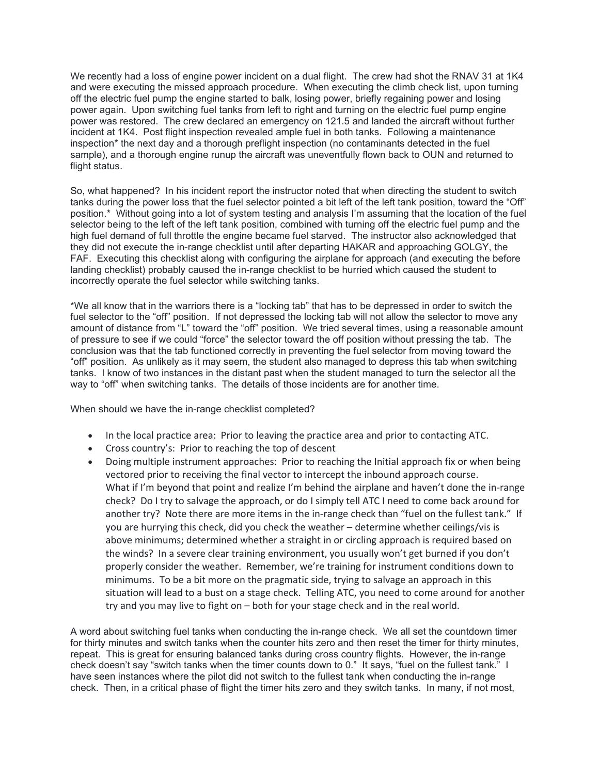We recently had a loss of engine power incident on a dual flight. The crew had shot the RNAV 31 at 1K4 and were executing the missed approach procedure. When executing the climb check list, upon turning off the electric fuel pump the engine started to balk, losing power, briefly regaining power and losing power again. Upon switching fuel tanks from left to right and turning on the electric fuel pump engine power was restored. The crew declared an emergency on 121.5 and landed the aircraft without further incident at 1K4. Post flight inspection revealed ample fuel in both tanks. Following a maintenance inspection\* the next day and a thorough preflight inspection (no contaminants detected in the fuel sample), and a thorough engine runup the aircraft was uneventfully flown back to OUN and returned to flight status.

So, what happened? In his incident report the instructor noted that when directing the student to switch tanks during the power loss that the fuel selector pointed a bit left of the left tank position, toward the "Off" position.\* Without going into a lot of system testing and analysis I'm assuming that the location of the fuel selector being to the left of the left tank position, combined with turning off the electric fuel pump and the high fuel demand of full throttle the engine became fuel starved. The instructor also acknowledged that they did not execute the in-range checklist until after departing HAKAR and approaching GOLGY, the FAF. Executing this checklist along with configuring the airplane for approach (and executing the before landing checklist) probably caused the in-range checklist to be hurried which caused the student to incorrectly operate the fuel selector while switching tanks.

\*We all know that in the warriors there is a "locking tab" that has to be depressed in order to switch the fuel selector to the "off" position. If not depressed the locking tab will not allow the selector to move any amount of distance from "L" toward the "off" position. We tried several times, using a reasonable amount of pressure to see if we could "force" the selector toward the off position without pressing the tab. The conclusion was that the tab functioned correctly in preventing the fuel selector from moving toward the "off" position. As unlikely as it may seem, the student also managed to depress this tab when switching tanks. I know of two instances in the distant past when the student managed to turn the selector all the way to "off" when switching tanks. The details of those incidents are for another time.

When should we have the in-range checklist completed?

- In the local practice area: Prior to leaving the practice area and prior to contacting ATC.
- Cross country's: Prior to reaching the top of descent
- Doing multiple instrument approaches: Prior to reaching the Initial approach fix or when being vectored prior to receiving the final vector to intercept the inbound approach course. What if I'm beyond that point and realize I'm behind the airplane and haven't done the in-range check? Do I try to salvage the approach, or do I simply tell ATC I need to come back around for another try? Note there are more items in the in-range check than "fuel on the fullest tank." If you are hurrying this check, did you check the weather – determine whether ceilings/vis is above minimums; determined whether a straight in or circling approach is required based on the winds? In a severe clear training environment, you usually won't get burned if you don't properly consider the weather. Remember, we're training for instrument conditions down to minimums. To be a bit more on the pragmatic side, trying to salvage an approach in this situation will lead to a bust on a stage check. Telling ATC, you need to come around for another try and you may live to fight on – both for your stage check and in the real world.

A word about switching fuel tanks when conducting the in-range check. We all set the countdown timer for thirty minutes and switch tanks when the counter hits zero and then reset the timer for thirty minutes, repeat. This is great for ensuring balanced tanks during cross country flights. However, the in-range check doesn't say "switch tanks when the timer counts down to 0." It says, "fuel on the fullest tank." I have seen instances where the pilot did not switch to the fullest tank when conducting the in-range check. Then, in a critical phase of flight the timer hits zero and they switch tanks. In many, if not most,